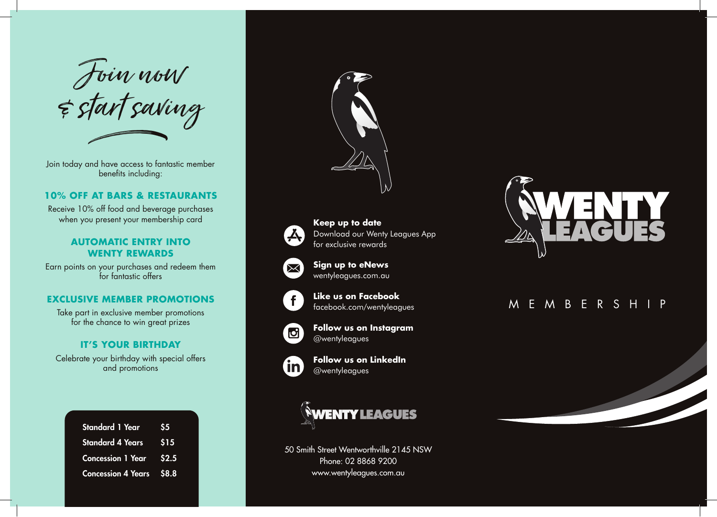Join now & start saving h

Join today and have access to fantastic member benefits including:

#### **10% OFF AT BARS & RESTAURANTS**

Receive 10% off food and beverage purchases when you present your membership card

#### **AUTOMATIC ENTRY INTO WENTY REWARDS**

Earn points on your purchases and redeem them for fantastic offers

## **EXCLUSIVE MEMBER PROMOTIONS**

Take part in exclusive member promotions for the chance to win great prizes

## **IT'S YOUR BIRTHDAY**

Celebrate your birthday with special offers and promotions

| <b>Standard 1 Year</b>          | -S5          |
|---------------------------------|--------------|
| Standard 4 Years                | $\sqrt{515}$ |
| Concession 1 Year \$2.5         |              |
| <b>Concession 4 Years \$8.8</b> |              |





**Keep up to date** Download our Wenty Leagues App for exclusive rewards



**Sign up to eNews** wentyleagues.com.au



**Like us on Facebook** facebook.com/wentyleagues



**Follow us on Instagram** @wentyleagues



**Follow us on LinkedIn** @wentyleagues



50 Smith Street Wentworthville 2145 NSW Phone: 02 8868 9200 www.wentyleagues.com.au



# MEMBERSHIP